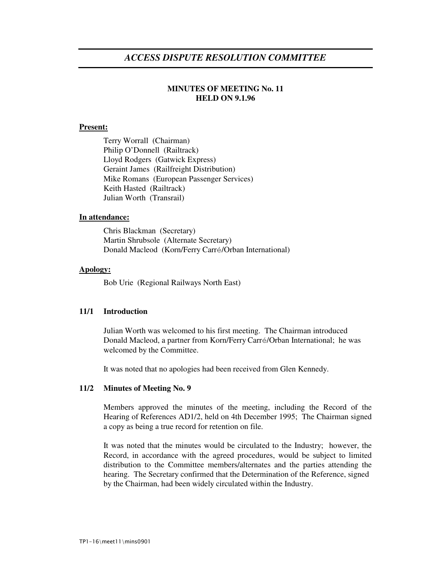# *ACCESS DISPUTE RESOLUTION COMMITTEE*

# **MINUTES OF MEETING No. 11 HELD ON 9.1.96**

## **Present:**

Terry Worrall (Chairman) Philip O'Donnell (Railtrack) Lloyd Rodgers (Gatwick Express) Geraint James (Railfreight Distribution) Mike Romans (European Passenger Services) Keith Hasted (Railtrack) Julian Worth (Transrail)

#### **In attendance:**

Chris Blackman (Secretary) Martin Shrubsole (Alternate Secretary) Donald Macleod (Korn/Ferry Carré/Orban International)

#### **Apology:**

Bob Urie (Regional Railways North East)

## **11/1 Introduction**

Julian Worth was welcomed to his first meeting. The Chairman introduced Donald Macleod, a partner from Korn/Ferry Carré/Orban International; he was welcomed by the Committee.

It was noted that no apologies had been received from Glen Kennedy.

#### **11/2 Minutes of Meeting No. 9**

Members approved the minutes of the meeting, including the Record of the Hearing of References AD1/2, held on 4th December 1995; The Chairman signed a copy as being a true record for retention on file.

It was noted that the minutes would be circulated to the Industry; however, the Record, in accordance with the agreed procedures, would be subject to limited distribution to the Committee members/alternates and the parties attending the hearing. The Secretary confirmed that the Determination of the Reference, signed by the Chairman, had been widely circulated within the Industry.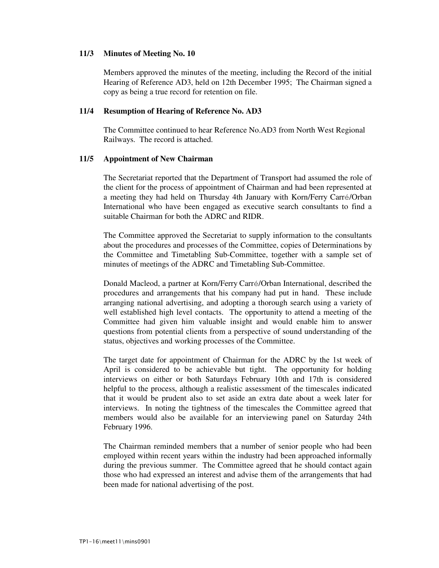## **11/3 Minutes of Meeting No. 10**

Members approved the minutes of the meeting, including the Record of the initial Hearing of Reference AD3, held on 12th December 1995; The Chairman signed a copy as being a true record for retention on file.

## **11/4 Resumption of Hearing of Reference No. AD3**

The Committee continued to hear Reference No.AD3 from North West Regional Railways. The record is attached.

## **11/5 Appointment of New Chairman**

The Secretariat reported that the Department of Transport had assumed the role of the client for the process of appointment of Chairman and had been represented at a meeting they had held on Thursday 4th January with Korn/Ferry Carré/Orban International who have been engaged as executive search consultants to find a suitable Chairman for both the ADRC and RIDR.

The Committee approved the Secretariat to supply information to the consultants about the procedures and processes of the Committee, copies of Determinations by the Committee and Timetabling Sub-Committee, together with a sample set of minutes of meetings of the ADRC and Timetabling Sub-Committee.

Donald Macleod, a partner at Korn/Ferry Carré/Orban International, described the procedures and arrangements that his company had put in hand. These include arranging national advertising, and adopting a thorough search using a variety of well established high level contacts. The opportunity to attend a meeting of the Committee had given him valuable insight and would enable him to answer questions from potential clients from a perspective of sound understanding of the status, objectives and working processes of the Committee.

The target date for appointment of Chairman for the ADRC by the 1st week of April is considered to be achievable but tight. The opportunity for holding interviews on either or both Saturdays February 10th and 17th is considered helpful to the process, although a realistic assessment of the timescales indicated that it would be prudent also to set aside an extra date about a week later for interviews. In noting the tightness of the timescales the Committee agreed that members would also be available for an interviewing panel on Saturday 24th February 1996.

The Chairman reminded members that a number of senior people who had been employed within recent years within the industry had been approached informally during the previous summer. The Committee agreed that he should contact again those who had expressed an interest and advise them of the arrangements that had been made for national advertising of the post.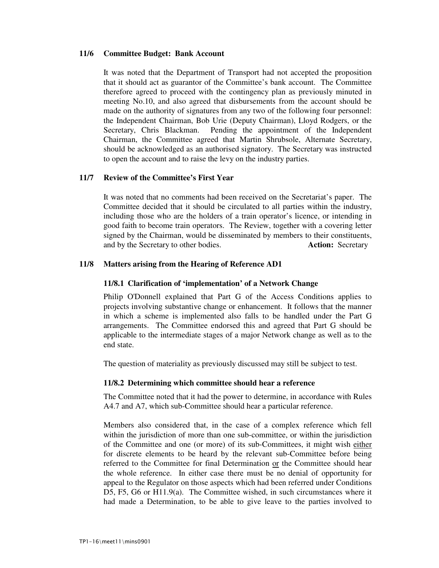#### **11/6 Committee Budget: Bank Account**

It was noted that the Department of Transport had not accepted the proposition that it should act as guarantor of the Committee's bank account. The Committee therefore agreed to proceed with the contingency plan as previously minuted in meeting No.10, and also agreed that disbursements from the account should be made on the authority of signatures from any two of the following four personnel: the Independent Chairman, Bob Urie (Deputy Chairman), Lloyd Rodgers, or the Secretary, Chris Blackman. Pending the appointment of the Independent Chairman, the Committee agreed that Martin Shrubsole, Alternate Secretary, should be acknowledged as an authorised signatory. The Secretary was instructed to open the account and to raise the levy on the industry parties.

#### **11/7 Review of the Committee's First Year**

It was noted that no comments had been received on the Secretariat's paper. The Committee decided that it should be circulated to all parties within the industry, including those who are the holders of a train operator's licence, or intending in good faith to become train operators. The Review, together with a covering letter signed by the Chairman, would be disseminated by members to their constituents, and by the Secretary to other bodies. **Action:** Secretary

#### **11/8 Matters arising from the Hearing of Reference AD1**

#### **11/8.1 Clarification of 'implementation' of a Network Change**

Philip O'Donnell explained that Part G of the Access Conditions applies to projects involving substantive change or enhancement. It follows that the manner in which a scheme is implemented also falls to be handled under the Part G arrangements. The Committee endorsed this and agreed that Part G should be applicable to the intermediate stages of a major Network change as well as to the end state.

The question of materiality as previously discussed may still be subject to test.

#### **11/8.2 Determining which committee should hear a reference**

The Committee noted that it had the power to determine, in accordance with Rules A4.7 and A7, which sub-Committee should hear a particular reference.

Members also considered that, in the case of a complex reference which fell within the jurisdiction of more than one sub-committee, or within the jurisdiction of the Committee and one (or more) of its sub-Committees, it might wish either for discrete elements to be heard by the relevant sub-Committee before being referred to the Committee for final Determination or the Committee should hear the whole reference. In either case there must be no denial of opportunity for appeal to the Regulator on those aspects which had been referred under Conditions D5, F5, G6 or H11.9(a). The Committee wished, in such circumstances where it had made a Determination, to be able to give leave to the parties involved to